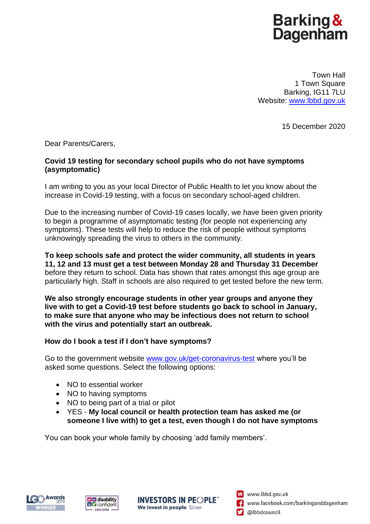# Barking &<br>Dagenham

Town Hall 1 Town Square Barking, IG11 7LU Website: [www.lbbd.gov.uk](http://www.lbbd.gov.uk/)

15 December 2020

Dear Parents/Carers,

## **Covid 19 testing for secondary school pupils who do not have symptoms (asymptomatic)**

I am writing to you as your local Director of Public Health to let you know about the increase in Covid-19 testing, with a focus on secondary school-aged children.

Due to the increasing number of Covid-19 cases locally, we have been given priority to begin a programme of asymptomatic testing (for people not experiencing any symptoms). These tests will help to reduce the risk of people without symptoms unknowingly spreading the virus to others in the community.

**To keep schools safe and protect the wider community, all students in years 11, 12 and 13 must get a test between Monday 28 and Thursday 31 December** before they return to school. Data has shown that rates amongst this age group are particularly high. Staff in schools are also required to get tested before the new term.

**We also strongly encourage students in other year groups and anyone they live with to get a Covid-19 test before students go back to school in January, to make sure that anyone who may be infectious does not return to school with the virus and potentially start an outbreak.**

## **How do I book a test if I don't have symptoms?**

Go to the government website [www.gov.uk/get-coronavirus-test](file:///C:/Users/eblackshaw/AppData/Local/Microsoft/Windows/INetCache/Content.Outlook/MLPQPH9J/www.gov.uk/get-coronavirus-test) where you'll be asked some questions. Select the following options:

- NO to essential worker
- NO to having symptoms
- NO to being part of a trial or pilot
- YES **My local council or health protection team has asked me (or someone I live with) to get a test, even though I do not have symptoms**

You can book your whole family by choosing 'add family members'.







W www.lbbd.gov.uk www.facebook.com/barkinganddagenham **D** @lbbdcouncil